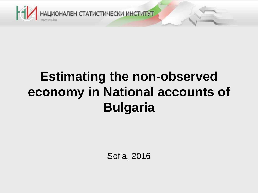

## **Estimating the non-observed economy in National accounts of Bulgaria**

Sofia, 2016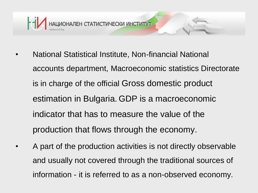

- National Statistical Institute, Non-financial National accounts department, Macroeconomic statistics Directorate is in charge of the official Gross domestic product estimation in Bulgaria. GDP is a macroeconomic indicator that has to measure the value of the production that flows through the economy.
- A part of the production activities is not directly observable and usually not covered through the traditional sources of information - it is referred to as a non-observed economy.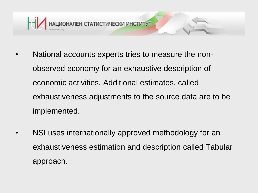

- National accounts experts tries to measure the nonobserved economy for an exhaustive description of economic activities. Additional estimates, called exhaustiveness adjustments to the source data are to be implemented.
- NSI uses internationally approved methodology for an exhaustiveness estimation and description called Tabular approach.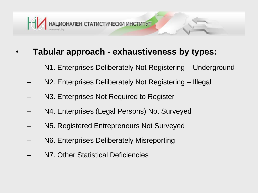

## • **Tabular approach - exhaustiveness by types:**

- N1. Enterprises Deliberately Not Registering Underground
- N2. Enterprises Deliberately Not Registering Illegal
- N3. Enterprises Not Required to Register
- N4. Enterprises (Legal Persons) Not Surveyed
- N5. Registered Entrepreneurs Not Surveyed
- N6. Enterprises Deliberately Misreporting
- N7. Other Statistical Deficiencies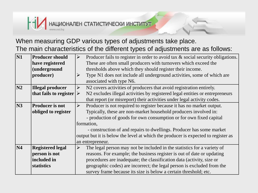

## When measuring GDP various types of adjustments take place. The main characteristics of the different types of adjustments are as follows:

| $\mathbf{N1}$  | <b>Producer should</b>                  | Producer fails to register in order to avoid tax & social security obligations.<br>$\blacktriangleright$ |                                                                              |  |  |  |  |  |  |
|----------------|-----------------------------------------|----------------------------------------------------------------------------------------------------------|------------------------------------------------------------------------------|--|--|--|--|--|--|
|                | have registered                         | These are often small producers with turnovers which exceed the                                          |                                                                              |  |  |  |  |  |  |
|                | <i>(underground</i>                     | thresholds above which they should register their income.                                                |                                                                              |  |  |  |  |  |  |
|                | producer)                               |                                                                                                          | Type N1 does not include all underground activities, some of which are       |  |  |  |  |  |  |
|                |                                         |                                                                                                          | associated with type N6.                                                     |  |  |  |  |  |  |
| $\mathbf{N2}$  | <b>Illegal producer</b>                 | $\blacktriangleright$                                                                                    | N2 covers activities of producers that avoid registration entirely.          |  |  |  |  |  |  |
|                | that fails to register $\triangleright$ |                                                                                                          | N2 excludes illegal activities by registered legal entities or entrepreneurs |  |  |  |  |  |  |
|                |                                         |                                                                                                          | that report (or misreport) their activities under legal activity codes.      |  |  |  |  |  |  |
| N <sub>3</sub> | <b>Producer is not</b>                  | $\blacktriangleright$                                                                                    | Producer is not required to register because it has no market output.        |  |  |  |  |  |  |
|                | obliged to register                     |                                                                                                          | Typically, these are non-market household producers involved in:             |  |  |  |  |  |  |
|                |                                         |                                                                                                          | - production of goods for own consumption or for own fixed capital           |  |  |  |  |  |  |
|                |                                         | formation,                                                                                               |                                                                              |  |  |  |  |  |  |
|                |                                         | - construction of and repairs to dwellings. Producer has some market                                     |                                                                              |  |  |  |  |  |  |
|                |                                         | output but it is below the level at which the producer is expected to register as                        |                                                                              |  |  |  |  |  |  |
|                |                                         | an entrepreneur.                                                                                         |                                                                              |  |  |  |  |  |  |
| <b>N4</b>      | <b>Registered legal</b>                 | ➤                                                                                                        | The legal person may not be included in the statistics for a variety of      |  |  |  |  |  |  |
|                | person is not                           |                                                                                                          | reasons. For example; the business register is out of date or updating       |  |  |  |  |  |  |
|                | included in                             | procedures are inadequate; the classification data (activity, size or                                    |                                                                              |  |  |  |  |  |  |
|                | statistics                              | geographic codes) are incorrect; the legal person is excluded from the                                   |                                                                              |  |  |  |  |  |  |
|                |                                         | survey frame because its size is below a certain threshold; etc.                                         |                                                                              |  |  |  |  |  |  |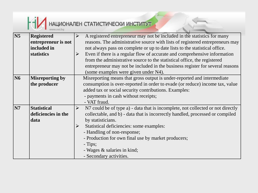

| $\overline{\text{N5}}$ | <b>Registered</b>      |                       | A registered entrepreneur may not be included in the statistics for many        |  |  |  |  |  |  |  |
|------------------------|------------------------|-----------------------|---------------------------------------------------------------------------------|--|--|--|--|--|--|--|
|                        | entrepreneur is not    |                       | reasons. The administrative source with lists of registered entrepreneurs may   |  |  |  |  |  |  |  |
|                        | included in            |                       | not always pass on complete or up to date lists to the statistical office.      |  |  |  |  |  |  |  |
|                        | statistics             | ➤                     | Even if there is a regular flow of accurate and comprehensive information       |  |  |  |  |  |  |  |
|                        |                        |                       | from the administrative source to the statistical office, the registered        |  |  |  |  |  |  |  |
|                        |                        |                       | entrepreneur may not be included in the business register for several reasons   |  |  |  |  |  |  |  |
|                        |                        |                       | (some examples were given under N4).                                            |  |  |  |  |  |  |  |
| $\overline{\text{N6}}$ | <b>Misreporting by</b> |                       | Misreporting means that gross output is under-reported and intermediate         |  |  |  |  |  |  |  |
|                        | the producer           |                       | consumption is over-reported in order to evade (or reduce) income tax, value    |  |  |  |  |  |  |  |
|                        |                        |                       | added tax or social security contributions. Examples:                           |  |  |  |  |  |  |  |
|                        |                        |                       | - payments in cash without receipts;                                            |  |  |  |  |  |  |  |
|                        |                        |                       | - VAT fraud.                                                                    |  |  |  |  |  |  |  |
| $\overline{\rm N7}$    | <b>Statistical</b>     | $\blacktriangleright$ | N7 could be of type a) - data that is incomplete, not collected or not directly |  |  |  |  |  |  |  |
|                        | deficiencies in the    |                       | collectable, and b) - data that is incorrectly handled, processed or compiled   |  |  |  |  |  |  |  |
|                        | data                   |                       | by statisticians.                                                               |  |  |  |  |  |  |  |
|                        |                        | $\blacktriangleright$ | Statistical deficiencies: some examples:                                        |  |  |  |  |  |  |  |
|                        |                        |                       | - Handling of non-response;                                                     |  |  |  |  |  |  |  |
|                        |                        |                       | - Production for own final use by market producers;                             |  |  |  |  |  |  |  |
|                        |                        |                       | - Tips;                                                                         |  |  |  |  |  |  |  |
|                        |                        |                       | - Wages & salaries in kind;                                                     |  |  |  |  |  |  |  |
|                        |                        |                       | - Secondary activities.                                                         |  |  |  |  |  |  |  |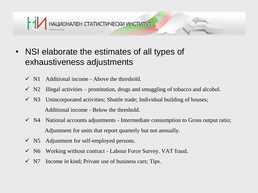

- NSI elaborate the estimates of all types of exhaustiveness adjustments
	- $\checkmark$  N1 Additional income Above the threshold.
	- $\checkmark$  N2 Illegal activities prostitution, drugs and smuggling of tobacco and alcohol.
	- $\checkmark$  N3 Unincorporated activities; Shuttle trade; Individual building of houses; Additional income - Below the threshold.
	- $\checkmark$  N4 National accounts adjustments Intermediate consumption to Gross output ratio; Adjustment for units that report quarterly but not annually.
	- $\checkmark$  N5 Adjustment for self-employed persons.
	- $\checkmark$  N6 Working without contract Labour Force Survey. VAT fraud.
	- $\checkmark$  N7 Income in kind; Private use of business cars; Tips.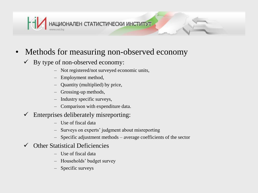

- Methods for measuring non-observed economy
	- $\checkmark$  By type of non-observed economy:
		- Not registered/not surveyed economic units,
		- Employment method,
		- Quantity (multiplied) by price,
		- Grossing-up methods,
		- Industry specific surveys,
		- Comparison with expenditure data.
	- $\checkmark$  Enterprises deliberately misreporting:
		- Use of fiscal data
		- Surveys on experts' judgment about misreporting
		- Specific adjustment methods average coefficients of the sector
	- $\checkmark$  Other Statistical Deficiencies
		- Use of fiscal data
		- Households' budget survey
		- Specific surveys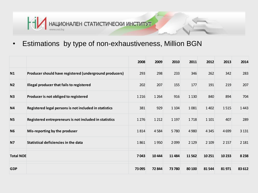

• Estimations by type of non-exhaustiveness, Million BGN

|                  |                                                         | 2008    | 2009    | 2010    | 2011    | 2012    | 2013    | 2014    |
|------------------|---------------------------------------------------------|---------|---------|---------|---------|---------|---------|---------|
| N1               | Producer should have registered (underground producers) | 293     | 298     | 233     | 346     | 262     | 342     | 283     |
| N <sub>2</sub>   | Illegal producer that fails to registered               | 202     | 207     | 155     | 177     | 191     | 219     | 207     |
| N3               | Producer is not obliged to registered                   | 1 2 1 6 | 1 2 6 4 | 916     | 1 1 3 0 | 840     | 894     | 704     |
| N <sub>4</sub>   | Registered legal persons is not included in statistics  | 381     | 929     | 1 1 0 4 | 1081    | 1 4 0 2 | 1515    | 1443    |
| <b>N5</b>        | Registered entrepreneurs is not included in statistics  | 1 2 7 6 | 1 2 1 2 | 1 1 9 7 | 1718    | 1 1 0 1 | 407     | 289     |
| N <sub>6</sub>   | Mis-reporting by the produser                           | 1814    | 4584    | 5780    | 4 9 8 0 | 4 3 4 5 | 4 6 9 9 | 3 1 3 1 |
| <b>N7</b>        | Statistical deficiencies in the data                    | 1861    | 1950    | 2099    | 2 1 2 9 | 2 1 0 9 | 2 1 5 7 | 2 1 8 1 |
| <b>Total NOE</b> |                                                         | 7043    | 10 4 44 | 11 4 84 | 11 5 62 | 10 25 1 | 10 233  | 8 2 3 8 |
| <b>GDP</b>       |                                                         | 73 095  | 72844   | 73 780  | 80 100  | 81 544  | 81971   | 83 612  |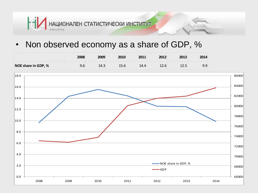

• Non observed economy as a share of GDP, %

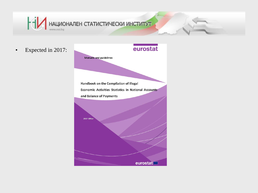

• Expected in 2017: